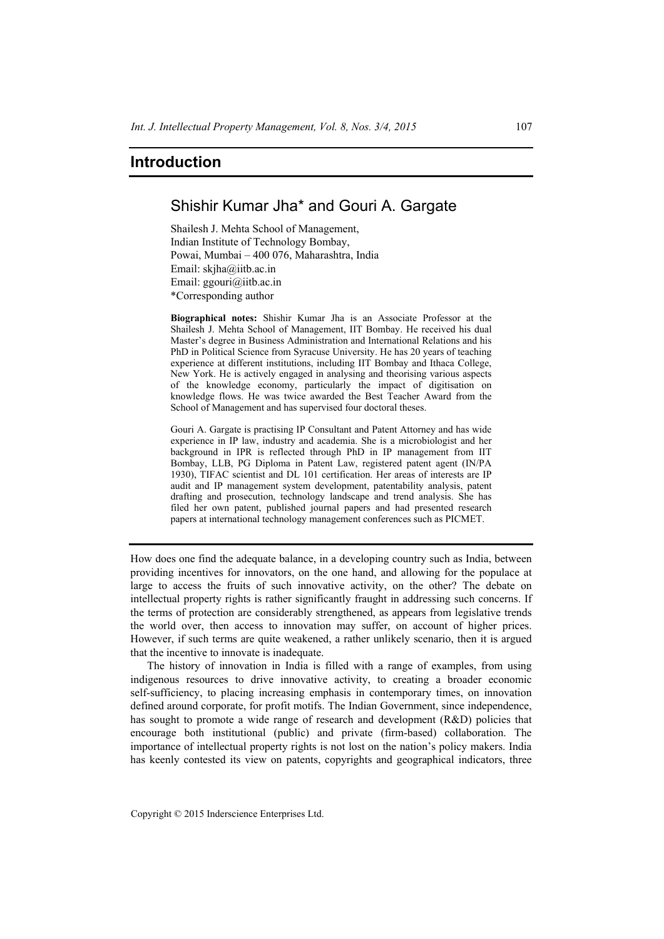## **Introduction**

# Shishir Kumar Jha\* and Gouri A. Gargate

Shailesh J. Mehta School of Management, Indian Institute of Technology Bombay, Powai, Mumbai – 400 076, Maharashtra, India Email: skjha@iitb.ac.in Email: ggouri@iitb.ac.in \*Corresponding author

**Biographical notes:** Shishir Kumar Jha is an Associate Professor at the Shailesh J. Mehta School of Management, IIT Bombay. He received his dual Master's degree in Business Administration and International Relations and his PhD in Political Science from Syracuse University. He has 20 years of teaching experience at different institutions, including IIT Bombay and Ithaca College, New York. He is actively engaged in analysing and theorising various aspects of the knowledge economy, particularly the impact of digitisation on knowledge flows. He was twice awarded the Best Teacher Award from the School of Management and has supervised four doctoral theses.

Gouri A. Gargate is practising IP Consultant and Patent Attorney and has wide experience in IP law, industry and academia. She is a microbiologist and her background in IPR is reflected through PhD in IP management from IIT Bombay, LLB, PG Diploma in Patent Law, registered patent agent (IN/PA 1930), TIFAC scientist and DL 101 certification. Her areas of interests are IP audit and IP management system development, patentability analysis, patent drafting and prosecution, technology landscape and trend analysis. She has filed her own patent, published journal papers and had presented research papers at international technology management conferences such as PICMET.

How does one find the adequate balance, in a developing country such as India, between providing incentives for innovators, on the one hand, and allowing for the populace at large to access the fruits of such innovative activity, on the other? The debate on intellectual property rights is rather significantly fraught in addressing such concerns. If the terms of protection are considerably strengthened, as appears from legislative trends the world over, then access to innovation may suffer, on account of higher prices. However, if such terms are quite weakened, a rather unlikely scenario, then it is argued that the incentive to innovate is inadequate.

The history of innovation in India is filled with a range of examples, from using indigenous resources to drive innovative activity, to creating a broader economic self-sufficiency, to placing increasing emphasis in contemporary times, on innovation defined around corporate, for profit motifs. The Indian Government, since independence, has sought to promote a wide range of research and development (R&D) policies that encourage both institutional (public) and private (firm-based) collaboration. The importance of intellectual property rights is not lost on the nation's policy makers. India has keenly contested its view on patents, copyrights and geographical indicators, three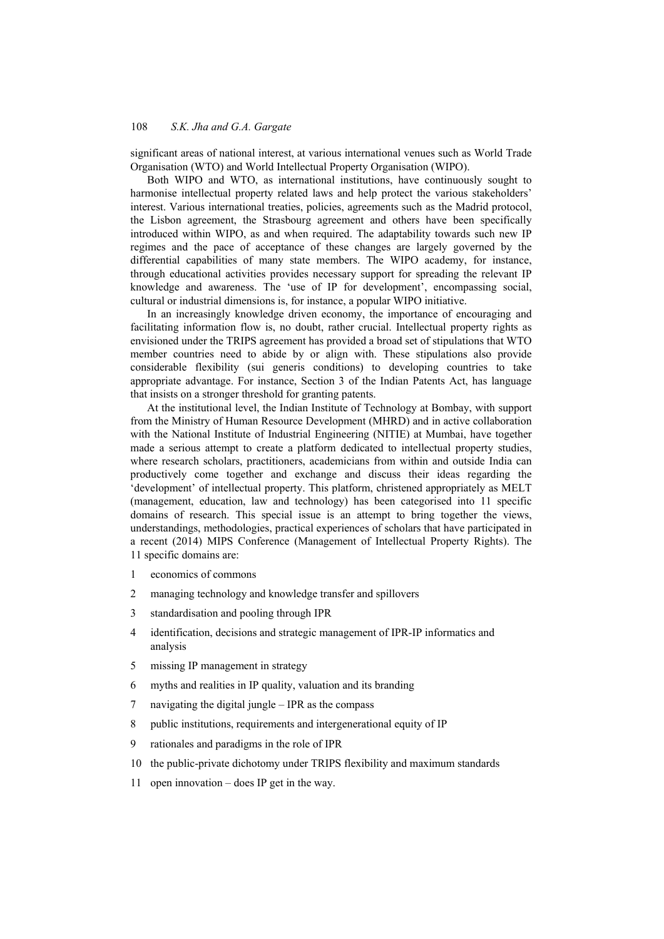### 108 *S.K. Jha and G.A. Gargate*

significant areas of national interest, at various international venues such as World Trade Organisation (WTO) and World Intellectual Property Organisation (WIPO).

Both WIPO and WTO, as international institutions, have continuously sought to harmonise intellectual property related laws and help protect the various stakeholders' interest. Various international treaties, policies, agreements such as the Madrid protocol, the Lisbon agreement, the Strasbourg agreement and others have been specifically introduced within WIPO, as and when required. The adaptability towards such new IP regimes and the pace of acceptance of these changes are largely governed by the differential capabilities of many state members. The WIPO academy, for instance, through educational activities provides necessary support for spreading the relevant IP knowledge and awareness. The 'use of IP for development', encompassing social, cultural or industrial dimensions is, for instance, a popular WIPO initiative.

In an increasingly knowledge driven economy, the importance of encouraging and facilitating information flow is, no doubt, rather crucial. Intellectual property rights as envisioned under the TRIPS agreement has provided a broad set of stipulations that WTO member countries need to abide by or align with. These stipulations also provide considerable flexibility (sui generis conditions) to developing countries to take appropriate advantage. For instance, Section 3 of the Indian Patents Act, has language that insists on a stronger threshold for granting patents.

At the institutional level, the Indian Institute of Technology at Bombay, with support from the Ministry of Human Resource Development (MHRD) and in active collaboration with the National Institute of Industrial Engineering (NITIE) at Mumbai, have together made a serious attempt to create a platform dedicated to intellectual property studies, where research scholars, practitioners, academicians from within and outside India can productively come together and exchange and discuss their ideas regarding the 'development' of intellectual property. This platform, christened appropriately as MELT (management, education, law and technology) has been categorised into 11 specific domains of research. This special issue is an attempt to bring together the views, understandings, methodologies, practical experiences of scholars that have participated in a recent (2014) MIPS Conference (Management of Intellectual Property Rights). The 11 specific domains are:

- 1 economics of commons
- 2 managing technology and knowledge transfer and spillovers
- 3 standardisation and pooling through IPR
- 4 identification, decisions and strategic management of IPR-IP informatics and analysis
- 5 missing IP management in strategy
- 6 myths and realities in IP quality, valuation and its branding
- 7 navigating the digital jungle IPR as the compass
- 8 public institutions, requirements and intergenerational equity of IP
- 9 rationales and paradigms in the role of IPR
- 10 the public-private dichotomy under TRIPS flexibility and maximum standards
- 11 open innovation does IP get in the way.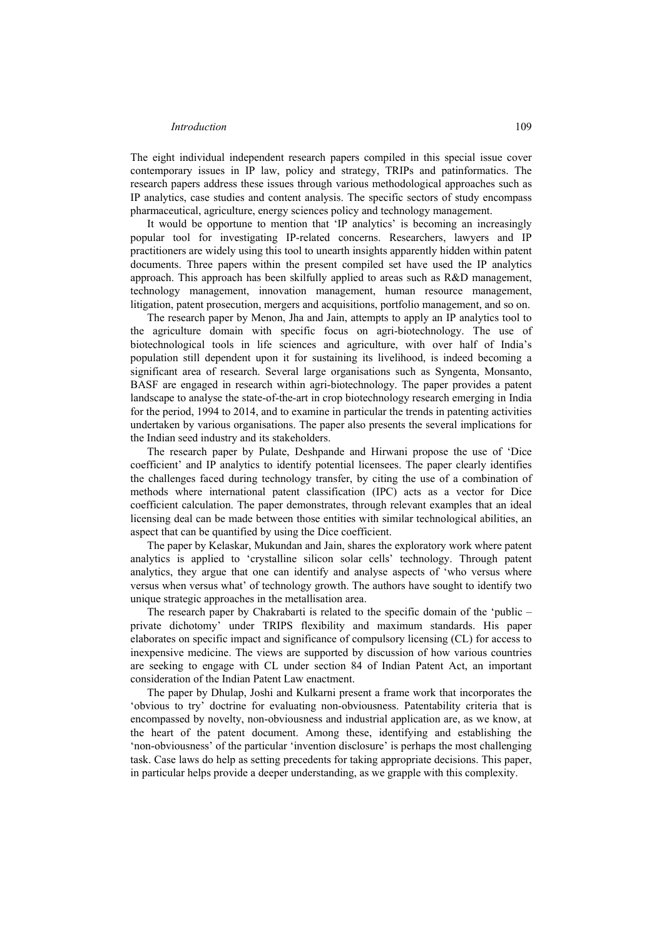#### *Introduction* 109

The eight individual independent research papers compiled in this special issue cover contemporary issues in IP law, policy and strategy, TRIPs and patinformatics. The research papers address these issues through various methodological approaches such as IP analytics, case studies and content analysis. The specific sectors of study encompass pharmaceutical, agriculture, energy sciences policy and technology management.

It would be opportune to mention that 'IP analytics' is becoming an increasingly popular tool for investigating IP-related concerns. Researchers, lawyers and IP practitioners are widely using this tool to unearth insights apparently hidden within patent documents. Three papers within the present compiled set have used the IP analytics approach. This approach has been skilfully applied to areas such as R&D management, technology management, innovation management, human resource management, litigation, patent prosecution, mergers and acquisitions, portfolio management, and so on.

The research paper by Menon, Jha and Jain, attempts to apply an IP analytics tool to the agriculture domain with specific focus on agri-biotechnology. The use of biotechnological tools in life sciences and agriculture, with over half of India's population still dependent upon it for sustaining its livelihood, is indeed becoming a significant area of research. Several large organisations such as Syngenta, Monsanto, BASF are engaged in research within agri-biotechnology. The paper provides a patent landscape to analyse the state-of-the-art in crop biotechnology research emerging in India for the period, 1994 to 2014, and to examine in particular the trends in patenting activities undertaken by various organisations. The paper also presents the several implications for the Indian seed industry and its stakeholders.

The research paper by Pulate, Deshpande and Hirwani propose the use of 'Dice coefficient' and IP analytics to identify potential licensees. The paper clearly identifies the challenges faced during technology transfer, by citing the use of a combination of methods where international patent classification (IPC) acts as a vector for Dice coefficient calculation. The paper demonstrates, through relevant examples that an ideal licensing deal can be made between those entities with similar technological abilities, an aspect that can be quantified by using the Dice coefficient.

The paper by Kelaskar, Mukundan and Jain, shares the exploratory work where patent analytics is applied to 'crystalline silicon solar cells' technology. Through patent analytics, they argue that one can identify and analyse aspects of 'who versus where versus when versus what' of technology growth. The authors have sought to identify two unique strategic approaches in the metallisation area.

The research paper by Chakrabarti is related to the specific domain of the 'public – private dichotomy' under TRIPS flexibility and maximum standards. His paper elaborates on specific impact and significance of compulsory licensing (CL) for access to inexpensive medicine. The views are supported by discussion of how various countries are seeking to engage with CL under section 84 of Indian Patent Act, an important consideration of the Indian Patent Law enactment.

The paper by Dhulap, Joshi and Kulkarni present a frame work that incorporates the 'obvious to try' doctrine for evaluating non-obviousness. Patentability criteria that is encompassed by novelty, non-obviousness and industrial application are, as we know, at the heart of the patent document. Among these, identifying and establishing the 'non-obviousness' of the particular 'invention disclosure' is perhaps the most challenging task. Case laws do help as setting precedents for taking appropriate decisions. This paper, in particular helps provide a deeper understanding, as we grapple with this complexity.